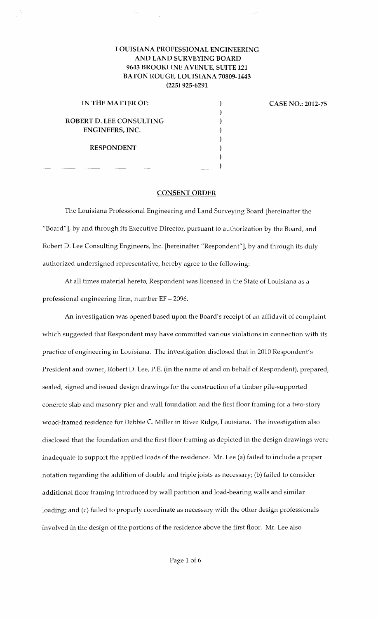# LOUISIANA PROFESSIONAL ENGINEERING AND LAND SURVEYING BOARD 9643 BROOKLINE A VENUE, SUITE 121 BATON ROUGE, LOUISIANA 70809-1443 (225) 925-6291

) ) ) ) ) ) )

### IN THE MATTER OF:

## ROBERT D. LEE CONSULTING ENGINEERS, INC.

RESPONDENT

 $\qquad \qquad \Box$ 

### CASE NO.: 2012-75

### CONSENT ORDER

The Louisiana Professional Engineering and Land Surveying Board [hereinafter the "Board"], by and through its Executive Director, pursuant to authorization by the Board, and Robert D. Lee Consulting Engineers, Inc. [hereinafter "Respondent"], by and through its duly authorized undersigned representative, hereby agree to the following:

At all times material hereto, Respondent was licensed in the State of Louisiana as a professional engineering firm, number EF- 2096.

An investigation was opened based upon the Board's receipt of an affidavit of complaint which suggested that Respondent may have committed various violations in connection with its practice of engineering in Louisiana. The investigation disclosed that in 2010 Respondent's President and owner, Robert D. Lee, P.E. (in the name of and on behalf of Respondent), prepared, sealed, signed and issued design drawings for the construction of a timber pile-supported concrete slab and masonry pier and wall foundation and the first floor framing for a two-story wood-framed residence for Debbie C. Miller in River Ridge, Louisiana. The investigation also disclosed that the foundation and the first floor framing as depicted in the design drawings were inadequate to support the applied loads of the residence. Mr. Lee (a) failed to include a proper notation regarding the addition of double and triple joists as necessary; (b) failed to consider additional floor framing introduced by wall partition and load-bearing walls and similar loading; and (c) failed to properly coordinate as necessary with the other design professionals involved in the design of the portions of the residence above the first floor. Mr. Lee also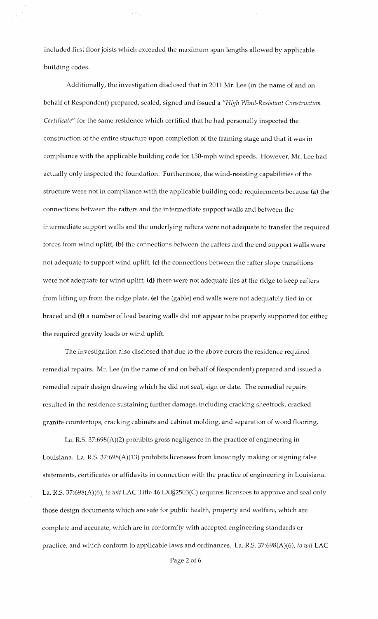included first floor joists which exceeded the maximum span lengths allowed by applicable building codes.

Additionally, the investigation disclosed that in 2011 Mr. Lee (in the name of and on behalf of Respondent) prepared, sealed, signed and issued a *"High Wind-Resistant Construction Certificate"* for the same residence which certified that he had personally inspected the construction of the entire structure upon completion of the framing stage and that it was in compliance with the applicable building code for 130-mph wind speeds. However, Mr. Lee had actually only inspected the foundation. Furthermore, the wind-resisting capabilities of the structure were not in compliance with the applicable building code requirements because (a) the connections between the rafters and the intermediate support walls and between the intermediate support walls and the underlying rafters were not adequate to transfer the required forces from wind uplift, (b) the connections between the rafters and the end support walls were not adequate to support wind uplift, (c) the connections between the rafter slope transitions were not adequate for wind uplift, (d) there were not adequate ties at the ridge to keep rafters from lifting up from the ridge plate, (e) the (gable) end walls were not adequately tied in or braced and (f) a number of load bearing walls did not appear to be properly supported for either the required gravity loads or wind uplift.

The investigation also disclosed that due to the above errors the residence required remedial repairs. Mr. Lee (in the name of and on behalf of Respondent) prepared and issued a remedial repair design drawing which he did not seal, sign or date. The remedial repairs resulted in the residence sustaining further damage, including cracking sheetrock, cracked granite countertops, cracking cabinets and cabinet molding, and separation of wood flooring.

La. R.S. 37:698(A)(2) prohibits gross negligence in the practice of engineering in Louisiana. La. R.S. 37:698(A)(13) prohibits licensees from knowingly making or signing false statements, certificates or affidavits in connection with the practice of engineering in Louisiana. La. R.S. 37:698(A)(6), *to wit* LAC Title 46:LXI§2503(C) requires licensees to approve and seal only those design documents which are safe for public health, property and welfare, which are complete and accurate, which are in conformity with accepted engineering standards or practice, and which conform to applicable laws and ordinances. La. R.S. 37:698(A)(6), *to wit* LAC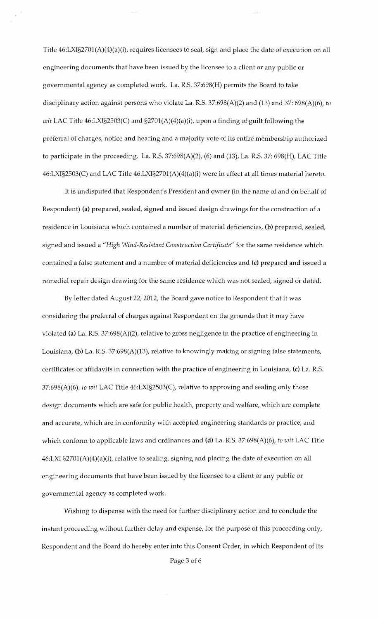Title 46:LXI§2701(A)(4)(a)(i), requires licensees to seal, sign and place the date of execution on all engineering documents that have been issued by the licensee to a client or any public or governmental agency as completed work. La. R.S. 37:698(H) permits the Board to take disciplinary action against persons who violate La. R.S. 37:698(A)(2) and (13) and 37: 698(A)(6), *to wit* LAC Title 46:LXI§2503(C) and §2701(A)(4)(a)(i), upon a finding of guilt following the preferral of charges, notice and hearing and a majority vote of its entire membership authorized to participate in the proceeding. La. R.S. 37:698(A)(2), (6) and (13), La. R.S. 37: 698(H), LAC Title 46:LXI§2503(C) and LAC Title 46:LXI§2701(A)(4)(a)(i) were in effect at all times material hereto.

It is undisputed that Respondent's President and owner (in the name of and on behalf of Respondent) (a) prepared, sealed, signed and issued design drawings for the construction of a residence in Louisiana which contained a number of material deficiencies, (b) prepared, sealed, signed and issued a *"High Wind-Resistant Construction Certificate"* for the same residence which contained a false statement and a number of material deficiencies and (c) prepared and issued a remedial repair design drawing for the same residence which was not sealed, signed or dated.

By letter dated August 22, 2012, the Board gave notice to Respondent that it was considering the preferral of charges against Respondent on the grounds that it may have violated (a) La. R.S. 37:698(A)(2), relative to gross negligence in the practice of engineering in Louisiana, (b) La. R.S. 37:698(A)(13), relative to knowingly making or signing false statements, certificates or affidavits in connection with the practice of engineering in Louisiana, (c) La. R.S. 37:698(A)(6), *to wit* LAC Title 46:LXI§2503(C), relative to approving and sealing only those design documents which are safe for public health, property and welfare, which are complete and accurate, which are in conformity with accepted engineering standards or practice, and which conform to applicable laws and ordinances and (d) La. R.S. 37:698(A)(6), *to wit* LAC Title 46:LXI §2701(A)(4)(a)(i), relative to sealing, signing and placing the date of execution on all engineering documents that have been issued by the licensee to a client or any public or governmental agency as completed work.

Wishing to dispense with the need for further disciplinary action and to conclude the instant proceeding without further delay and expense, for the purpose of this proceeding only, Respondent and the Board do hereby enter into this Consent Order, in which Respondent of its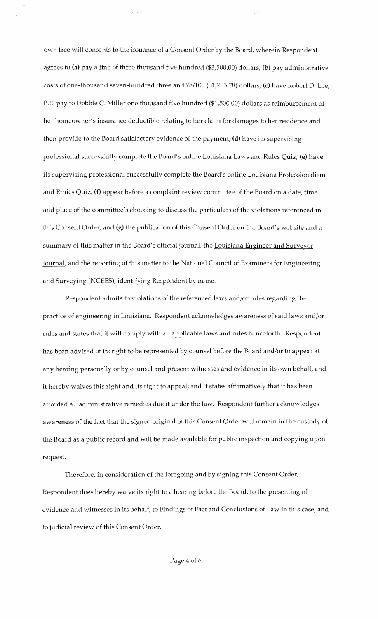own free will consents to the issuance of a Consent Order by the Board, wherein Respondent agrees to (a) pay a fine of three thousand five hundred (\$3,500.00) dollars, (b) pay administrative costs of one-thousand seven-hundred three and 78/100 (\$1,703.78) dollars, (c) have Robert D. Lee, P.E. pay to Debbie C. Miller one thousand five hundred (\$1,500.00) dollars as reimbursement of her homeowner's insurance deductible relating to her claim for damages to her residence and then provide to the Board satisfactory evidence of the payment, (d) have its supervising professional successfully complete the Board's online Louisiana Laws and Rules Quiz, (e) have its supervising professional successfully complete the Board's online Louisiana Professionalism and Ethics Quiz, (f) appear before a complaint review committee of the Board on a date, time and place of the committee's choosing to discuss the particulars of the violations referenced in this Consent Order, and (g) the publication of this Consent Order on the Board's website and a summary of this matter in the Board's official journal, the Louisiana Engineer and Surveyor Journal, and the reporting of this matter to the National Council of Examiners for Engineering and Surveying (NCEES), identifying Respondent by name.

Respondent admits to violations of the referenced laws and/or rules regarding the practice of engineering in Louisiana. Respondent acknowledges awareness of said laws and/or rules and states that it will comply with all applicable laws and rules henceforth. Respondent has been advised of its right to be represented by counsel before the Board and/or to appear at any hearing personally or by counsel and present witnesses and evidence in its own behalf, and it hereby waives this right and its right to appeal; and it states affirmatively that it has been afforded all administrative remedies due it under the law. Respondent further acknowledges awareness of the fact that the signed original of this Consent Order will remain in the custody of the Board as a public record and will be made available for public inspection and copying upon request.

Therefore, in consideration of the foregoing and by signing this Consent Order, Respondent does hereby waive its right to a hearing before the Board, to the presenting of evidence and witnesses in its behalf, to Findings of Fact and Conclusions of Law in this case, and to judicial review of this Consent Order.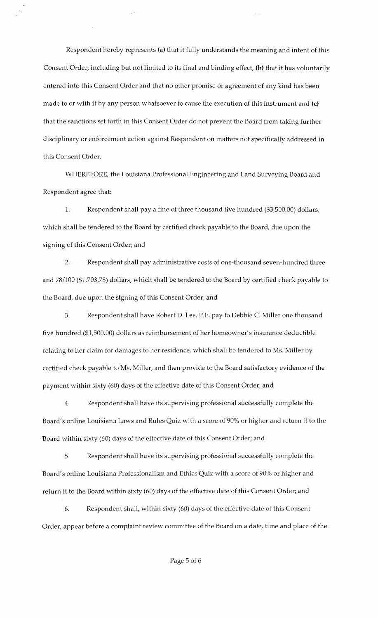Respondent hereby represents (a) that it fully understands the meaning and intent of this Consent Order, including but not limited to its final and binding effect, (b) that it has voluntarily entered into this Consent Order and that no other promise or agreement of any kind has been made to or with it by any person whatsoever to cause the execution of this instrument and  $(c)$ that the sanctions set forth in this Consent Order do not prevent the Board from taking further disciplinary or enforcement action against Respondent on matters not specifically addressed in this Consent Order.

WHEREFORE, the Louisiana Professional Engineering and Land Surveying Board and Respondent agree that:

1. Respondent shall pay a fine of three thousand five hundred (\$3,500.00) dollars, which shall be tendered to the Board by certified check payable to the Board, due upon the signing of this Consent Order; and

2. Respondent shall pay administrative costs of one-thousand seven-hundred three and 78/100 (\$1,703.78) dollars, which shall be tendered to the Board by certified check payable to the Board, due upon the signing of this Consent Order; and

3. Respondent shall have Robert D. Lee, P.E. pay to Debbie C. Miller one thousand five hundred (\$1,500.00) dollars as reimbursement of her homeowner's insurance deductible relating to her claim for damages to her residence, which shall be tendered to Ms. Miller by certified check payable to Ms. Miller, and then provide to the Board satisfactory evidence of the payment within sixty (60) days of the effective date of this Consent Order; and

4. Respondent shall have its supervising professional successfully complete the Board's online Louisiana Laws and Rules Quiz with a score of 90% or higher and return it to the Board within sixty (60) days of the effective date of this Consent Order; and

5. Respondent shall have its supervising professional successfully complete the Board's online Louisiana Professionalism and Ethics Quiz with a score of 90% or higher and return it to the Board within sixty (60) days of the effective date of this Consent Order; and

6. Respondent shall, within sixty (60) days of the effective date of this Consent Order, appear before a complaint review committee of the Board on a date, time and place of the